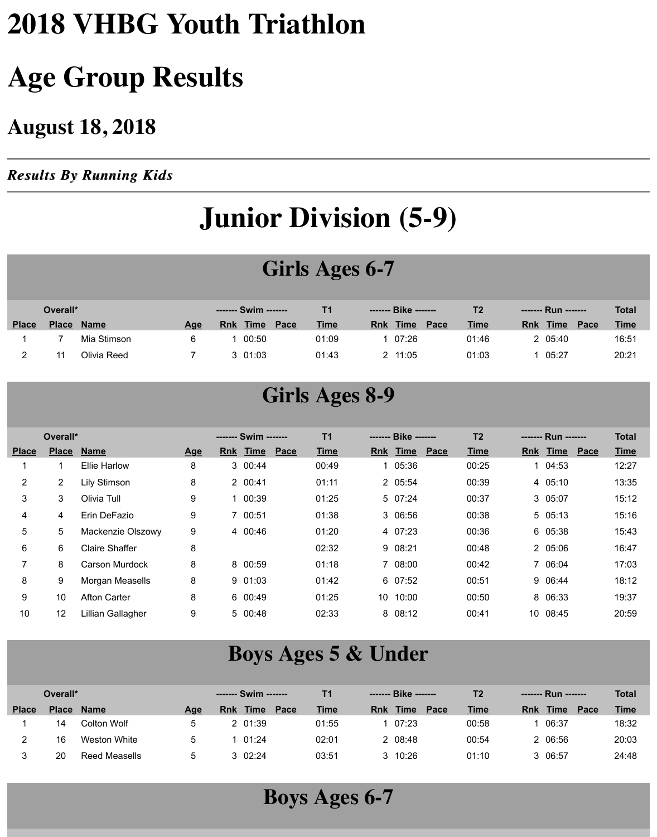## **2018 VHBG Youth Triathlon**

## **Age Group Results**

#### **August 18, 2018**

*Results By Running Kids Results By Running Kids*

## **Junior Division (5-9)**

#### **Girls Ages 6-7**

|              | Overall*     |             |            |            | ------- Swim ------ |      |             |            | ------- Bike ------- |      | T2          | ------- Run ------                | <b>Total</b> |
|--------------|--------------|-------------|------------|------------|---------------------|------|-------------|------------|----------------------|------|-------------|-----------------------------------|--------------|
| <b>Place</b> | <b>Place</b> | <b>Name</b> | <u>Age</u> | <u>Rnk</u> | <b>Time</b>         | Pace | <b>Time</b> | <b>Rnk</b> | <b>Time</b>          | Pace | <b>Time</b> | <b>Time</b><br><b>Rnk</b><br>Pace | <b>Time</b>  |
|              |              | Mia Stimson |            |            | 00:50               |      | 01:09       |            | 07:26                |      | 01:46       | 05:40                             | 16:51        |
|              |              | Olivia Reed |            |            | 3 01:03             |      | 01:43       |            | 11:05                |      | 01:03       | 05:27                             | 20:21        |

#### **Girls Ages 8-9**

|                | Overall*              |                       |            | ------- Swim ------- |      | T <sub>1</sub> |   | ------- Bike ------- |      | T <sub>2</sub> |    | ------- Run ------- |      | <b>Total</b> |
|----------------|-----------------------|-----------------------|------------|----------------------|------|----------------|---|----------------------|------|----------------|----|---------------------|------|--------------|
| <b>Place</b>   | <b>Place</b>          | <b>Name</b>           | <u>Age</u> | Rnk Time             | Pace | <b>Time</b>    |   | Rnk Time             | Pace | <b>Time</b>    |    | Rnk Time            | Pace | <b>Time</b>  |
|                |                       | <b>Ellie Harlow</b>   | 8          | 3 00:44              |      | 00:49          |   | 05:36                |      | 00:25          | 1. | 04:53               |      | 12:27        |
| $\overline{2}$ | $\mathbf{2}^{\prime}$ | Lily Stimson          | 8          | 2 00:41              |      | 01:11          |   | 2 05:54              |      | 00:39          |    | 4 05:10             |      | 13:35        |
| 3              | 3                     | Olivia Tull           | 9          | 1 00:39              |      | 01:25          |   | 5 07:24              |      | 00:37          |    | 3 05:07             |      | 15:12        |
| 4              | 4                     | Erin DeFazio          | 9          | 7 00:51              |      | 01:38          |   | 3 06:56              |      | 00:38          |    | 5 05:13             |      | 15:16        |
| 5              | 5                     | Mackenzie Olszowy     | 9          | 4 00:46              |      | 01:20          |   | 4 07:23              |      | 00:36          |    | 6 05:38             |      | 15:43        |
| 6              | 6                     | <b>Claire Shaffer</b> | 8          |                      |      | 02:32          |   | 9 08:21              |      | 00:48          |    | 2 05:06             |      | 16:47        |
| 7              | 8                     | <b>Carson Murdock</b> | 8          | 8 00:59              |      | 01:18          | 7 | 08:00                |      | 00:42          |    | 7 06:04             |      | 17:03        |
| 8              | 9                     | Morgan Measells       | 8          | 901:03               |      | 01:42          |   | 6 07:52              |      | 00:51          |    | 9 06:44             |      | 18:12        |
| 9              | 10                    | <b>Afton Carter</b>   | 8          | 6 00:49              |      | 01:25          |   | 10 10:00             |      | 00:50          |    | 8 06:33             |      | 19:37        |
| 10             | 12                    | Lillian Gallagher     | 9          | 5 00:48              |      | 02:33          | 8 | 08:12                |      | 00:41          |    | 10 08:45            |      | 20:59        |
|                |                       |                       |            |                      |      |                |   |                      |      |                |    |                     |      |              |

#### **Boys Ages 5 & Under**

|              | Overall*     |               |            |     | ------- Swim ------- |      | Τ1          |     | ------- Bike ------- |      | Т2          | ------- Run ------- |      | <b>Total</b> |
|--------------|--------------|---------------|------------|-----|----------------------|------|-------------|-----|----------------------|------|-------------|---------------------|------|--------------|
| <b>Place</b> | <b>Place</b> | <b>Name</b>   | <u>Age</u> | Rnk | <b>Time</b>          | Pace | <u>Time</u> | Rnk | <b>Time</b>          | Pace | <b>Time</b> | <b>Time</b><br>Rnk  | Pace | <b>Time</b>  |
|              | 14           | Colton Wolf   |            |     | 2 01:39              |      | 01:55       |     | 07:23                |      | 00:58       | 06:37               |      | 18:32        |
|              | 16           | Weston White  |            |     | 01:24                |      | 02:01       |     | 2 08:48              |      | 00:54       | 2 06:56             |      | 20:03        |
|              | 20           | Reed Measells |            |     | 3 02:24              |      | 03:51       |     | 3 10:26              |      | 01:10       | 3 06:57             |      | 24:48        |

**Boys Ages 6-7**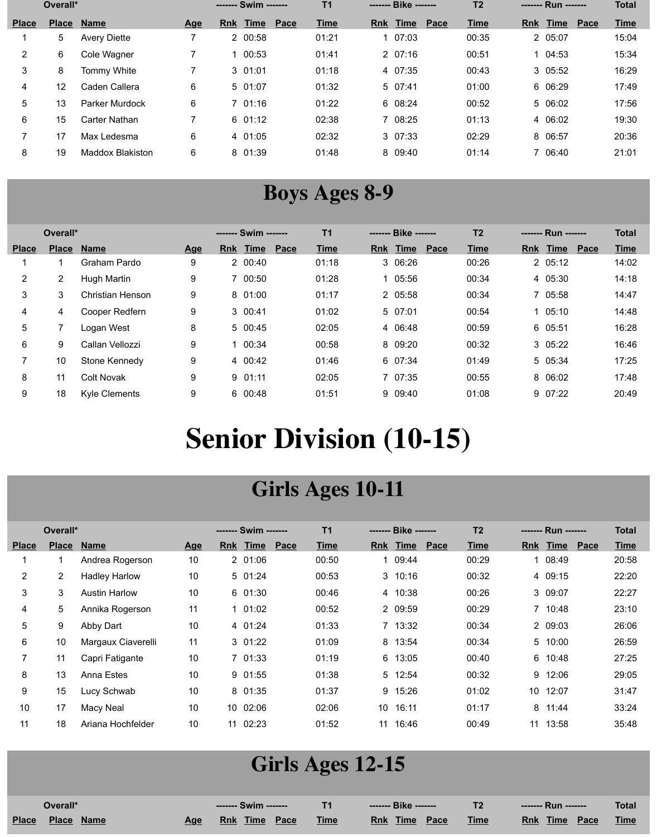|                | Overall*     |                         |            | ------- Swim ------- |      | T <sub>1</sub> | ------- Bike ------- |      | T <sub>2</sub> | ------- Run ------- |      | <b>Total</b> |
|----------------|--------------|-------------------------|------------|----------------------|------|----------------|----------------------|------|----------------|---------------------|------|--------------|
| <b>Place</b>   | <b>Place</b> | <b>Name</b>             | <u>Age</u> | Rnk Time             | Pace | <b>Time</b>    | Rnk Time             | Pace | <b>Time</b>    | <b>Rnk Time</b>     | Pace | <b>Time</b>  |
|                | 5            | <b>Avery Diette</b>     |            | 2 00:58              |      | 01:21          | 07:03                |      | 00:35          | 2 05:07             |      | 15:04        |
| $\overline{2}$ | 6            | Cole Wagner             |            | 00:53                |      | 01:41          | 207:16               |      | 00:51          | 1 04:53             |      | 15:34        |
| 3              | 8            | Tommy White             |            | 301:01               |      | 01:18          | 4 07:35              |      | 00:43          | 3 05:52             |      | 16:29        |
| 4              | 12           | Caden Callera           | 6          | 5 01:07              |      | 01:32          | 507:41               |      | 01:00          | 6 06:29             |      | 17:49        |
| 5              | 13           | Parker Murdock          | 6          | 701:16               |      | 01:22          | 6 08:24              |      | 00:52          | 5 06:02             |      | 17:56        |
| 6              | 15           | Carter Nathan           |            | 601:12               |      | 02:38          | 08:25                |      | 01:13          | 4 06:02             |      | 19:30        |
|                | 17           | Max Ledesma             | 6          | 4 01:05              |      | 02:32          | 3 07:33              |      | 02:29          | 8 06:57             |      | 20:36        |
| 8              | 19           | <b>Maddox Blakiston</b> | 6          | 8 01:39              |      | 01:48          | 8 09:40              |      | 01:14          | 7 06:40             |      | 21:01        |

#### **Boys Ages 8-9**

|                | Overall*       |                      |                           |            | ------- Swim ------- |      | T <sub>1</sub> |            | ------- Bike ------- |      | T <sub>2</sub> |            | ------- Run ------- |      | <b>Total</b> |
|----------------|----------------|----------------------|---------------------------|------------|----------------------|------|----------------|------------|----------------------|------|----------------|------------|---------------------|------|--------------|
| <b>Place</b>   | <b>Place</b>   | <b>Name</b>          | $\overline{\mathbf{Age}}$ | <b>Rnk</b> | Time                 | Pace | <b>Time</b>    | <b>Rnk</b> | Time                 | Pace | <b>Time</b>    | <u>Rnk</u> | Time                | Pace | <b>Time</b>  |
|                |                | Graham Pardo         | 9                         |            | 2 00:40              |      | 01:18          |            | 3 06:26              |      | 00:26          |            | 205:12              |      | 14:02        |
| $\overline{2}$ | $\overline{2}$ | Hugh Martin          | 9                         |            | 7 00:50              |      | 01:28          | 1.         | 05:56                |      | 00:34          |            | 4 05:30             |      | 14:18        |
| 3              | 3              | Christian Henson     | 9                         |            | 8 01:00              |      | 01:17          |            | 2 05:58              |      | 00:34          |            | 7 05:58             |      | 14:47        |
| 4              | 4              | Cooper Redfern       | 9                         |            | 3 00:41              |      | 01:02          |            | 5 07:01              |      | 00:54          |            | 105:10              |      | 14:48        |
| 5              |                | Logan West           | 8                         |            | 5 00:45              |      | 02:05          |            | 4 06:48              |      | 00:59          |            | 6 05:51             |      | 16:28        |
| 6              | 9              | Callan Vellozzi      | 9                         |            | 00:34                |      | 00:58          |            | 8 09:20              |      | 00:32          |            | 3 05:22             |      | 16:46        |
|                | 10             | Stone Kennedy        | 9                         |            | 4 00:42              |      | 01:46          |            | 6 07:34              |      | 01:49          |            | 5 05:34             |      | 17:25        |
| 8              | 11             | <b>Colt Novak</b>    | 9                         |            | 901:11               |      | 02:05          |            | 7 07:35              |      | 00:55          |            | 8 06:02             |      | 17:48        |
| 9              | 18             | <b>Kyle Clements</b> | 9                         |            | 6 00:48              |      | 01:51          |            | 9 09:40              |      | 01:08          |            | 9 07:22             |      | 20:49        |

# **Senior Division (10-15)**

#### **Girls Ages 10-11**

|                | Overall*              |                      |            |                 |             |      | T <sub>1</sub> |                 | ------- Bike ------- |      | T <sub>2</sub> |            | ------- Run ------- |      | <b>Total</b> |
|----------------|-----------------------|----------------------|------------|-----------------|-------------|------|----------------|-----------------|----------------------|------|----------------|------------|---------------------|------|--------------|
| <b>Place</b>   | <b>Place</b>          | <b>Name</b>          | <u>Age</u> | <b>Rnk</b>      | <b>Time</b> | Pace | <b>Time</b>    | <b>Rnk</b>      | Time                 | Pace | <b>Time</b>    | <b>Rnk</b> | Time                | Pace | <b>Time</b>  |
|                |                       | Andrea Rogerson      | 10         |                 | 201:06      |      | 00:50          |                 | 09:44                |      | 00:29          |            | 1 08:49             |      | 20:58        |
| $\overline{2}$ | $\mathbf{2}^{\prime}$ | <b>Hadley Harlow</b> | 10         |                 | 5 01:24     |      | 00:53          |                 | $3 \t10:16$          |      | 00:32          |            | 4 09:15             |      | 22:20        |
| 3              | 3                     | <b>Austin Harlow</b> | 10         |                 | 601:30      |      | 00:46          |                 | 4 10:38              |      | 00:26          |            | 3 09:07             |      | 22:27        |
| 4              | 5                     | Annika Rogerson      | 11         |                 | $1 \t01:02$ |      | 00:52          |                 | 2 09:59              |      | 00:29          |            | 7 10:48             |      | 23:10        |
| 5              | 9                     | Abby Dart            | 10         |                 | 4 01:24     |      | 01:33          |                 | 7 13:32              |      | 00:34          |            | 2 09:03             |      | 26:06        |
| 6              | 10                    | Margaux Ciaverelli   | 11         |                 | $3 \t01:22$ |      | 01:09          |                 | 8 13:54              |      | 00:34          |            | 5 10:00             |      | 26:59        |
| 7              | 11                    | Capri Fatigante      | 10         |                 | 7 01:33     |      | 01:19          | 6               | 13:05                |      | 00:40          | 6          | 10:48               |      | 27:25        |
| 8              | 13                    | Anna Estes           | 10         |                 | 9 01:55     |      | 01:38          |                 | 5 12:54              |      | 00:32          |            | 9 12:06             |      | 29:05        |
| 9              | 15                    | Lucy Schwab          | 10         |                 | 8 01:35     |      | 01:37          |                 | 9 15:26              |      | 01:02          | 10         | 12:07               |      | 31:47        |
| 10             | 17                    | Macy Neal            | 10         | 10 <sup>°</sup> | 02:06       |      | 02:06          | 10 <sup>1</sup> | 16:11                |      | 01:17          | 8          | 11:44               |      | 33:24        |
| 11             | 18                    | Ariana Hochfelder    | 10         | 11              | 02:23       |      | 01:52          | 11              | 16:46                |      | 00:49          | 11         | 13:58               |      | 35:48        |

#### **Girls Ages 12-15**

|              | Overall*             |            | -------- Swim -------      |             | -------- Bike ------- | エク          | ------- Run -------                | <b>Total</b> |
|--------------|----------------------|------------|----------------------------|-------------|-----------------------|-------------|------------------------------------|--------------|
| <b>Place</b> | Place<br><b>Name</b> | <u>Age</u> | <b>Time</b><br>Pace<br>Rnk | <b>Time</b> | Time<br>Pace<br>Rnk   | <b>Time</b> | <b>Time</b><br><b>Rnk</b><br>Pace. | <b>Time</b>  |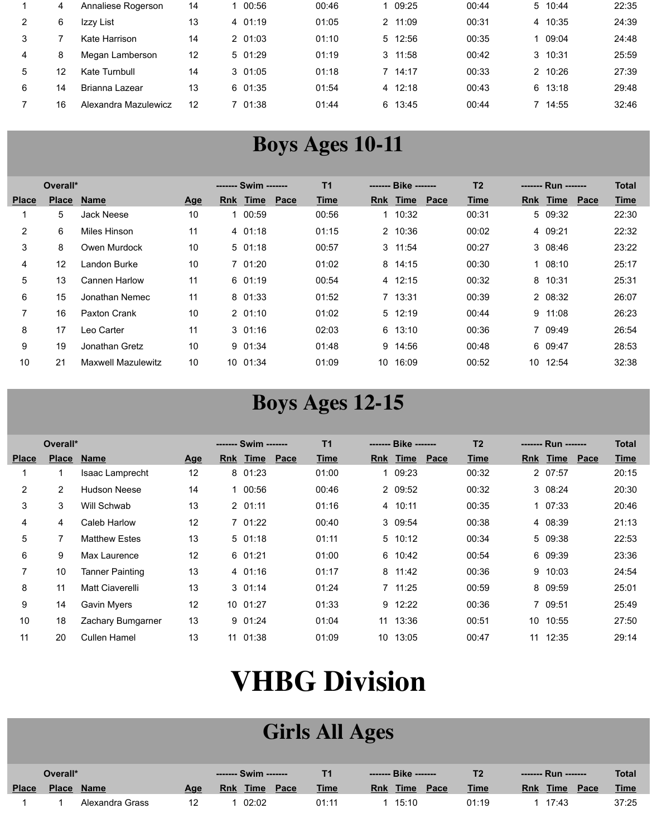|   | 4  | Annaliese Rogerson   | 14 | 1 00:56 | 00:46 | 09:25           | 00:44 | 5 10:44 | 22:35 |
|---|----|----------------------|----|---------|-------|-----------------|-------|---------|-------|
|   |    | Izzy List            | 13 | 4 01:19 | 01:05 | 2 11:09         | 00:31 | 4 10:35 | 24:39 |
|   |    | Kate Harrison        | 14 | 2 01:03 | 01:10 | 5 12:56         | 00:35 | 09:04   | 24:48 |
| 4 | 8  | Megan Lamberson      | 12 | 5 01:29 | 01:19 | $3 \quad 11:58$ | 00:42 | 3 10:31 | 25:59 |
| 5 | 12 | Kate Turnbull        | 14 | 301:05  | 01:18 | 7 14:17         | 00:33 | 2 10:26 | 27:39 |
| 6 | 14 | Brianna Lazear       | 13 | 601:35  | 01:54 | 4 12:18         | 00:43 | 6 13:18 | 29:48 |
|   | 16 | Alexandra Mazulewicz | 12 | 7 01:38 | 01:44 | 6 13:45         | 00:44 | 7 14:55 | 32:46 |

#### **Boys Ages 10-11**

|              | Overall*     |                           |            | ------- Swim ------- |      | T <sub>1</sub> |    | ------- Bike ------- |      | T <sub>2</sub> |     | ------- Run ------- |      | <b>Total</b> |
|--------------|--------------|---------------------------|------------|----------------------|------|----------------|----|----------------------|------|----------------|-----|---------------------|------|--------------|
| <b>Place</b> | <b>Place</b> | <b>Name</b>               | <u>Age</u> | Rnk Time             | Pace | <b>Time</b>    |    | Rnk Time             | Pace | <b>Time</b>    | Rnk | Time                | Pace | <b>Time</b>  |
|              | 5            | Jack Neese                | 10         | 00:59                |      | 00:56          | 1. | 10:32                |      | 00:31          |     | 5 09:32             |      | 22:30        |
| 2            | 6            | Miles Hinson              | 11         | 4 01:18              |      | 01:15          |    | 2 10:36              |      | 00:02          |     | 4 09:21             |      | 22:32        |
| 3            | 8            | Owen Murdock              | 10         | $5\,01:18$           |      | 00:57          |    | $3 \quad 11:54$      |      | 00:27          |     | 3 08:46             |      | 23:22        |
| 4            | 12           | Landon Burke              | 10         | 7.01:20              |      | 01:02          |    | 8 14:15              |      | 00:30          |     | 108:10              |      | 25:17        |
| 5            | 13           | <b>Cannen Harlow</b>      | 11         | 6 01:19              |      | 00:54          |    | 4 12:15              |      | 00:32          |     | 8 10:31             |      | 25:31        |
| 6            | 15           | Jonathan Nemec            | 11         | 8 01:33              |      | 01:52          |    | 7 13:31              |      | 00:39          |     | 2 08:32             |      | 26:07        |
| 7            | 16           | Paxton Crank              | 10         | 201:10               |      | 01:02          |    | 5 12:19              |      | 00:44          |     | $9 \t11:08$         |      | 26:23        |
| 8            | 17           | Leo Carter                | 11         | $3 \t01:16$          |      | 02:03          |    | 6 13:10              |      | 00:36          |     | 7 09:49             |      | 26:54        |
| 9            | 19           | Jonathan Gretz            | 10         | 901:34               |      | 01:48          | 9  | 14:56                |      | 00:48          |     | 6 09:47             |      | 28:53        |
| 10           | 21           | <b>Maxwell Mazulewitz</b> | 10         | 10 01:34             |      | 01:09          | 10 | 16:09                |      | 00:52          | 10  | 12:54               |      | 32:38        |

#### **Boys Ages 12-15**

|              | Overall*       |                        |            |            |             |      | <b>T1</b>   |            | ------- Bike ------- |      | T <sub>2</sub> | ------- Run -------       | <b>Total</b>        |
|--------------|----------------|------------------------|------------|------------|-------------|------|-------------|------------|----------------------|------|----------------|---------------------------|---------------------|
| <b>Place</b> | <b>Place</b>   | <u>Name</u>            | <u>Age</u> | <b>Rnk</b> | <u>Time</u> | Pace | <b>Time</b> | <b>Rnk</b> | Time                 | Pace | <u>Time</u>    | <b>Time</b><br><b>Rnk</b> | Pace<br><u>Time</u> |
|              |                | Isaac Lamprecht        | 12         |            | 8 01:23     |      | 01:00       | 1.         | 09:23                |      | 00:32          | 2 07:57                   | 20:15               |
| 2            | $\overline{2}$ | <b>Hudson Neese</b>    | 14         |            | 00:56       |      | 00:46       |            | 2 09:52              |      | 00:32          | 3 08:24                   | 20:30               |
| 3            | 3              | Will Schwab            | 13         |            | 201:11      |      | 01:16       |            | 4 10:11              |      | 00:35          | $1 \t07:33$               | 20:46               |
| 4            | 4              | Caleb Harlow           | 12         |            | 7 01:22     |      | 00:40       |            | 3 09:54              |      | 00:38          | 4 08:39                   | 21:13               |
| 5            |                | <b>Matthew Estes</b>   | 13         |            | 501:18      |      | 01:11       |            | 5 10:12              |      | 00:34          | 5 09:38                   | 22:53               |
| 6            | 9              | Max Laurence           | 12         |            | 601:21      |      | 01:00       |            | 6 10:42              |      | 00:54          | 6 09:39                   | 23:36               |
| 7            | 10             | <b>Tanner Painting</b> | 13         |            | 4 01:16     |      | 01:17       |            | 8 11:42              |      | 00:36          | 9 10:03                   | 24:54               |
| 8            | 11             | Matt Ciaverelli        | 13         |            | $3 \t01:14$ |      | 01:24       |            | 7 11:25              |      | 00:59          | 8 09:59                   | 25:01               |
| 9            | 14             | <b>Gavin Myers</b>     | 12         |            | 10 01:27    |      | 01:33       |            | 9 12:22              |      | 00:36          | 7 09:51                   | 25:49               |
| 10           | 18             | Zachary Bumgarner      | 13         |            | 901:24      |      | 01:04       | 11         | 13:36                |      | 00:51          | 10 10:55                  | 27:50               |
| 11           | 20             | Cullen Hamel           | 13         |            | 11 01:38    |      | 01:09       | 10.        | 13:05                |      | 00:47          | 12:35<br>11               | 29:14               |

# **VHBG Division**

#### **Girls All Ages**

|              | Overall* |                 |            |             |      |             |                    |      | エク          |                            | <b>Total</b> |
|--------------|----------|-----------------|------------|-------------|------|-------------|--------------------|------|-------------|----------------------------|--------------|
| <b>Place</b> | Place    | <b>Name</b>     | <u>Age</u> | Time<br>Rnk | Pace | <b>Time</b> | Time<br><b>Rnk</b> | Pace | <b>Time</b> | <b>Time</b><br>Pace<br>Rnk | <b>Time</b>  |
|              |          | Alexandra Grass | 12         | 02:02       |      | 01:11       | 15:10              |      | 01:19       | 17:43                      | 37:25        |